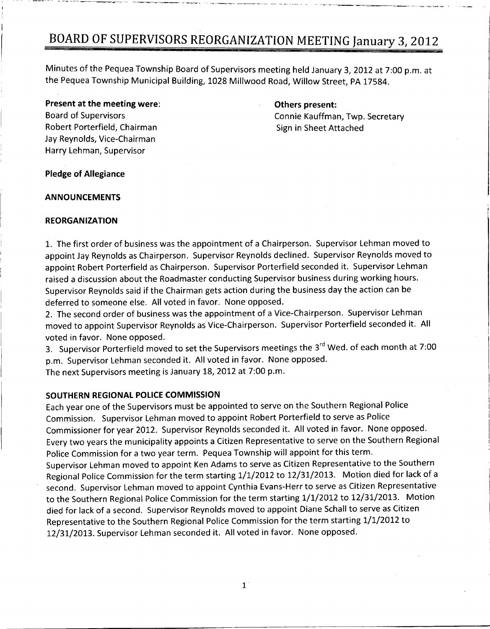Minutes of the Pequea Township Board of Supervisors meeting held January 3, 2012 at 7:00 p.m. at the Pequea Township Municipal Building, 1028 Millwood Road, Willow Street, PA 17584.

**Present at the meeting were:**<br>
Board of Supervisors **Example 2018**<br>
Connie Kauffman Robert Porterfield, Chairman Sign in Sheet Attached Jay Reynolds, Vice-Chairman Harry Lehman, Supervisor

Connie Kauffman, Twp. Secretary

### Pledge of Allegiance

#### ANNOUNCEMENTS

#### REORGANIZATION

1. The first order of business was the appointment of a Chairperson. Supervisor Lehman moved to appoint Jay Reynolds as Chairperson. Supervisor Reynolds declined. Supervisor Reynolds moved to appoint Robert Porterfield as Chairperson. Supervisor Porterfield seconded it. Supervisor Lehman raised <sup>a</sup> discussion about the Roadmaster conducting Supervisor business during working hours Supervisor Reynolds said if the Chairman gets action during the business day the action can be deferred to someone else. All voted in favor. None opposed.

2. The second order of business was the appointment of a Vice-Chairperson. Supervisor Lehman moved to appoint Supervisor Reynolds as Vice-Chairperson. Supervisor Porterfield seconded it. All voted in favor. None opposed.

voted in favor. None opposed.<br>3. Supervisor Porterfield moved to set the Supervisors meetings the 3<sup>rd</sup> Wed. of each month at 7:00<br>s.m. Supervises Lahman cosended it. All vated in favor. None opposed 3. Supervisor Porterfield moved to set the Supervisors meetings the 3<sup>rd</sup><br>p.m. Supervisor Lehman seconded it. All voted in favor. None opposed.<br>The wort Supervisors meeting is locusty 18, 2012 at 7:00 p.m. p.m. Supervisor Lehman seconded it. All voted in favor. None opposed.<br>The next Supervisors meeting is January 18, 2012 at 7:00 p.m.

#### SOUTHERN REGIONAL POLICE COMMISSION

Each year one of the Supervisors must be appointed to serve on the Southern Regional Police Commission. Supervisor Lehman moved to appoint Robert Porterfield to serve as Police Commissioner for year 2012. Supervisor Reynolds seconded it. All voted in favor. None opposed. Every two years the municipality appoints <sup>a</sup> Citizen Representative to serve on the Southern Regional Police Commission for a two year term. Pequea Township will appoint for this term. Supervisor Lehman moved to appoint Ken Adams to serve as Citizen Representative to the Southern Commissioner for year 2012. Supervisor Reynolds seconded it. An voced in favor: None opposed:<br>Every two years the municipality appoints a Citizen Representative to serve on the Southern Regional<br>Police Commission for a two second. Supervisor Lehman moved to appoint Cynthia Evans-Herr to serve as Citizen Representative Regional Police Commission for the term starting 1/1/2012 to 12/31/2013. Motion died for lack of a died for lack of a second. Supervisor Reynolds moved to appoint Diane Schall to serve as Citizen<br>Representative to the Southern Regional Police Commission for the term starting 1/1/2012 to to the Southern Regional Police Commission for the term starting 1/1/2012 to 12/31/2013. Motion 12/31/2013. Supervisor Lehman seconded it. All voted in favor. None opposed.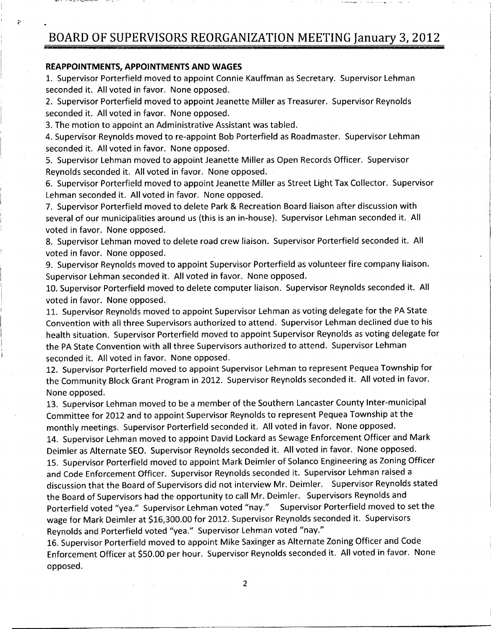### REAPPOINTMENTS APPOINTMENTS AND WAGES

P

1. Supervisor Porterfield moved to appoint Connie Kauffman as Secretary. Supervisor Lehman seconded it. All voted in favor. None opposed.

2. Supervisor Porterfield moved to appoint Jeanette Miller as Treasurer. Supervisor Reynolds seconded it. All voted in favor. None opposed.

3. The motion to appoint an Administrative Assistant was tabled.

4. Supervisor Reynolds moved to re-appoint Bob Porterfield as Roadmaster. Supervisor Lehman seconded it. All voted in favor. None opposed.

5. Supervisor Lehman moved to appoint Jeanette Miller as Open Records Officer. Supervisor Reynolds seconded it. All voted in favor. None opposed.

6. Supervisor Porterfield moved to appoint Jeanette Miller as Street Light Tax Collector. Supervisor Lehman seconded it. All voted in favor. None opposed.

7. Supervisor Porterfield moved to delete Park & Recreation Board liaison after discussion with several of our municipalities around us (this is an in-house). Supervisor Lehman seconded it. All voted in favor. None opposed.

8. Supervisor Lehman moved to delete road crew liaison. Supervisor Porterfield seconded it. All voted in favor. None opposed.

9. Supervisor Reynolds moved to appoint Supervisor Porterfield as volunteer fire company liaison. Supervisor Lehman seconded it. All voted in favor. None opposed.

10. Supervisor Porterfield moved to delete computer liaison. Supervisor Reynolds seconded it. All voted in favor. None opposed.

voted in ravor. None opposed.<br>11. Supervisor Reynolds moved to appoint Supervisor Lehman as voting delegate for the PA State Convention with all three Supervisors authorized to attend. Supervisor Lehman declined due to his health situation. Supervisor Porterfield moved to appoint Supervisor Reynolds as voting delegate for the PA State Convention with all three Supervisors authorized to attend. Supervisor Lehman seconded it. All voted in favor. None opposed.

12. Supervisor Porterfield moved to appoint Supervisor Lehman to represent Pequea Township for the Community Block Grant Program in 2012. Supervisor Reynolds seconded it. All voted in favor. None opposed

13. Supervisor Lehman moved to be a member of the Southern Lancaster County Inter-municipal Committee for 2012 and to appoint Supervisor Reynolds to represent Pequea Township at the monthly meetings. Supervisor Porterfield seconded it. All voted in favor. None opposed.

14 Supervisor Lehman moved to appoint David Lockard as Sewage Enforcement Officer and Mark Deimler as Alternate SEO. Supervisor Reynolds seconded it. All voted in favor. None opposed. 15 Supervisor Porterfield moved to appoint Mark Deimler of Solanco Engineering as Zoning Officer and Code Enforcement Officer. Supervisor Reynolds seconded it. Supervisor Lehman raised a discussion that the Board of Supervisors did not interview Mr. Deimler. Supervisor Reynolds stated the Board of Supervisors had the opportunity to call Mr. Deimler. Supervisors Reynolds and Porterfield voted "yea." Supervisor Lehman voted "nay." Supervisor Porterfield moved to set the the Board of Supervisors had the opportunity to call Mr. Deimler. Supervisors Reynolds and<br>Porterfield voted "yea." Supervisor Lehman voted "nay." Supervisor Porterfield moved to s<br>wage for Mark Deimler at \$16,300.00 Reynolds and Porterfield voted "yea." Supervisor Lehman voted "nay."

16 Supervisor Porterfield moved to appoint Mike Saxinger as Alternate Zoning Officer and Code Enforcement Officer at \$50.00 per hour. Supervisor Reynolds seconded it. All voted in favor. None opposed

2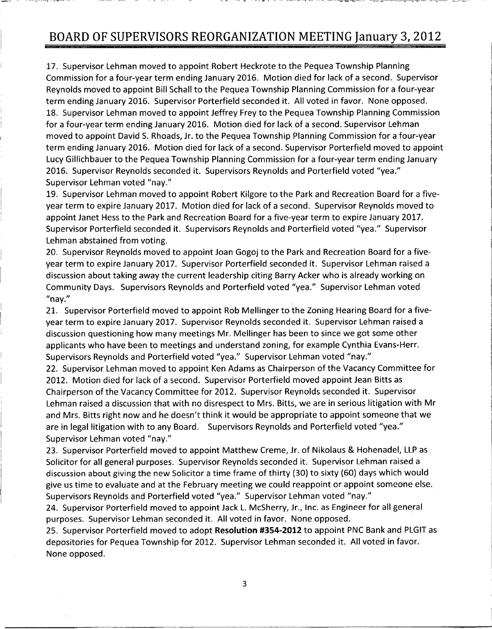17. Supervisor Lehman moved to appoint Robert Heckrote to the Pequea Township Planning Commission for a four-year term ending January 2016. Motion died for lack of a second. Supervisor Reynolds moved to appoint Bill Schall to the Pequea Township Planning Commission for <sup>a</sup> fouryear term ending January 2016. Supervisor Porterfield seconded it. All voted in favor. None opposed. 18 Supervisor Lehman moved to appoint Jeffrey Frey to the Pequea Township Planning Commission for a four-year term ending January 2016. Motion died for lack of a second. Supervisor Lehman moved to appoint David S. Rhoads, Jr. to the Pequea Township Planning Commission for a four-year term ending January 2016. Motion died for lack of a second. Supervisor Porterfield moved to appoint Lucy Gillichbauer to the Pequea Township Planning Commission for a four-year term ending January 2016. Supervisor Reynolds seconded it. Supervisors Reynolds and Porterfield voted "yea." Supervisor Lehman voted "nay."

19. Supervisor Lehman moved to appoint Robert Kilgore to the Park and Recreation Board for a fiveyear term to expire January 2017. Motion died for lack of a second. Supervisor Reynolds moved to appoint Janet Hess to the Park and Recreation Board for a five-year term to expire January 2017. Supervisor Porterfield seconded it. Supervisors Reynolds and Porterfield voted "yea." Supervisor Lehman abstained from voting

20 Supervisor Reynolds moved to appoint Joan Gogoj to the Park and Recreation Board for <sup>a</sup> five year term to expire January 2017. Supervisor Porterfield seconded it. Supervisor Lehman raised a discussion about taking away the current leadership citing Barry Acker who is already working on Community Days. Supervisors Reynolds and Porterfield voted "yea." Supervisor Lehman voted "nav."

21. Supervisor Porterfield moved to appoint Rob Mellinger to the Zoning Hearing Board for a fiveyear term to expire January 2017. Supervisor Reynolds seconded it. Supervisor Lehman raised a discussion questioning how many meetings Mr. Mellinger has been to since we got some other applicants who have been to meetings and understand zoning, for example Cynthia Evans-Herr. Supervisors Reynolds and Porterfield voted "yea." Supervisor Lehman voted "nay."

22. Supervisor Lehman moved to appoint Ken Adams as Chairperson of the Vacancy Committee for 2012. Motion died for lack of a second. Supervisor Porterfield moved appoint Jean Bitts as Chairperson of the Vacancy Committee for 2012. Supervisor Reynolds seconded it. Supervisor Lehman raised a discussion that with no disrespect to Mrs. Bitts, we are in serious litigation with Mr applicants who have been to meetings and understand zoning, for example Cynthia Evans-Herr.<br>Supervisors Reynolds and Porterfield voted "yea." Supervisor Lehman voted "nay."<br>22. Supervisor Lehman moved to appoint Ken Adams are in legal litigation with to any Board. Supervisors Reynolds and Porterfield voted "yea." Supervisor Lehman voted "nay."

23. Supervisor Porterfield moved to appoint Matthew Creme, Jr. of Nikolaus & Hohenadel, LLP as Solicitor for all general purposes. Supervisor Reynolds seconded it. Supervisor Lehman raised a discussion about giving the new Solicitor a time frame of thirty (30) to sixty (60) days which would give us time to evaluate and at the February meeting we could reappoint or appoint someone else Supervisors Reynolds and Porterfield voted "yea." Supervisor Lehman voted "nay."

24. Supervisor Porterfield moved to appoint Jack L. McSherry, Jr., Inc. as Engineer for all general purposes. Supervisor Lehman seconded it. All voted in favor. None opposed.

25. Supervisor Porterfield moved to adopt Resolution #354-2012 to appoint PNC Bank and PLGIT as depositories for Pequea Township for 2012. Supervisor Lehman seconded it. All voted in favor. None opposed

3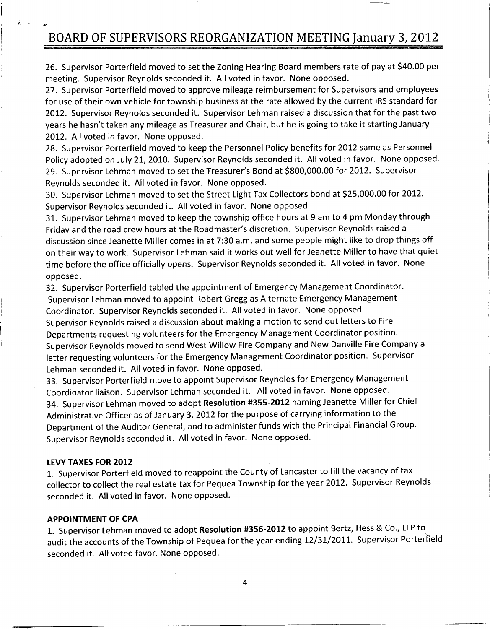26. Supervisor Porterfield moved to set the Zoning Hearing Board members rate of pay at \$40.00 per meeting. Supervisor Reynolds seconded it. All voted in favor. None opposed.

27. Supervisor Porterfield moved to approve mileage reimbursement for Supervisors and employees for use of their own vehicle for township business at the rate allowed by the current IRS standard for 2012. Supervisor Reynolds seconded it. Supervisor Lehman raised a discussion that for the past two 26. Supervisor Porterfield moved to set the Zoning Hearing Board members rate of pay at \$40.00 p<br>meeting. Supervisor Reynolds seconded it. All voted in favor. None opposed.<br>27. Supervisor Porterfield moved to approve milea 2012. All voted in favor. None opposed.

28. Supervisor Porterfield moved to keep the Personnel Policy benefits for 2012 same as Personnel Policy adopted on July 21, 2010. Supervisor Reynolds seconded it. All voted in favor. None opposed.<br>29. Supervisor Lehman moved to set the Treasurer's Bond at \$800,000.00 for 2012. Supervisor 2012. Supervisor Reynolds seconded it. Supervisor Lehman raised a discussion that for the pas<br>
2012. All voted in favor. None opposed.<br>
28. Supervisor Porterfield moved to keep the Personnel Policy benefits for 2012 same a Reynolds seconded it. All voted in favor. None opposed.

30. Supervisor Lehman moved to set the Street Light Tax Collectors bond at \$25,000.00 for 2012. Supervisor Reynolds seconded it. All voted in favor. None opposed.

31. Supervisor Lehman moved to keep the township office hours at 9 am to 4 pm Monday through Friday and the road crew hours at the Roadmaster's discretion. Supervisor Reynolds raised a discussion since Jeanette Miller comes in at 7:30 a.m. and some people might like to drop things off on their way to work. Supervisor Lehman said it works out well for Jeanette Miller to have that quiet time before the office officially opens. Supervisor Reynolds seconded it. All voted in favor. None opposed

32. Supervisor Porterfield tabled the appointment of Emergency Management Coordinator. Supervisor Lehman moved to appoint Robert Gregg as Alternate Emergency Management Coordinator. Supervisor Reynolds seconded it. All voted in favor. None opposed.

Supervisor Reynolds raised <sup>a</sup> discussion about making <sup>a</sup> motion to send out letters to Fire Departments requesting volunteers for the Emergency Management Coordinator position Supervisor Reynolds moved to send West Willow Fire Company and New Danville Fire Company <sup>a</sup> letter requesting volunteers for the Emergency Management Coordinator position. Supervisor Lehman seconded it. All voted in favor. None opposed.

33 Supervisor Porterfield move to appoint Supervisor Reynolds for Emergency Management Coordinator liaison. Supervisor Lehman seconded it. All voted in favor. None opposed. 34. Supervisor Lehman moved to adopt Resolution #355-2012 naming Jeanette Miller for Chief Administrative Officer as of January 3, 2012 for the purpose of carrying information to the Department of the Auditor General, and to administer funds with the Principal Financial Group. Supervisor Reynolds seconded it. All voted in favor. None opposed.

#### LEVY TAXES FOR 2012

T e

1 Supervisor Porterfield moved to reappoint the County of Lancaster to fill the vacancy of tax collector to collect the real estate tax for Pequea Township for the year 2012. Supervisor Reynolds seconded it. All voted in favor. None opposed.

#### APPOINTMENT OF CPA

1. Supervisor Lehman moved to adopt Resolution #356-2012 to appoint Bertz, Hess & Co., LLP to audit the accounts of the Township of Pequea for the year ending 12/31/2011. Supervisor Porterfield seconded it. All voted favor. None opposed.

4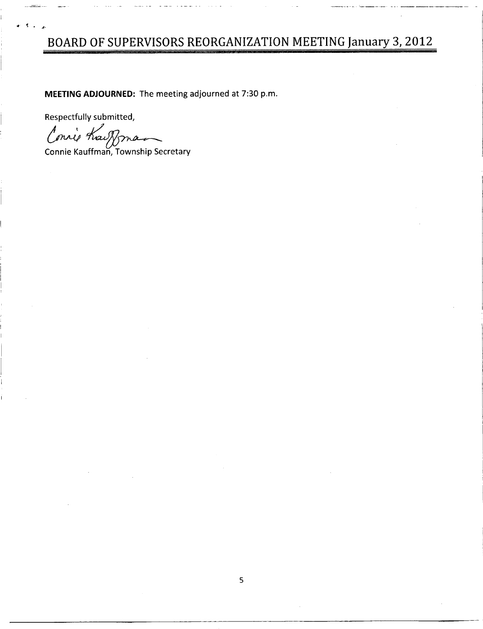MEETING ADJOURNED: The meeting adjourned at 7:30 p.m.

Respectfully submitted,

Connie Kai Nona

Connie Kauffman, Township Secretary